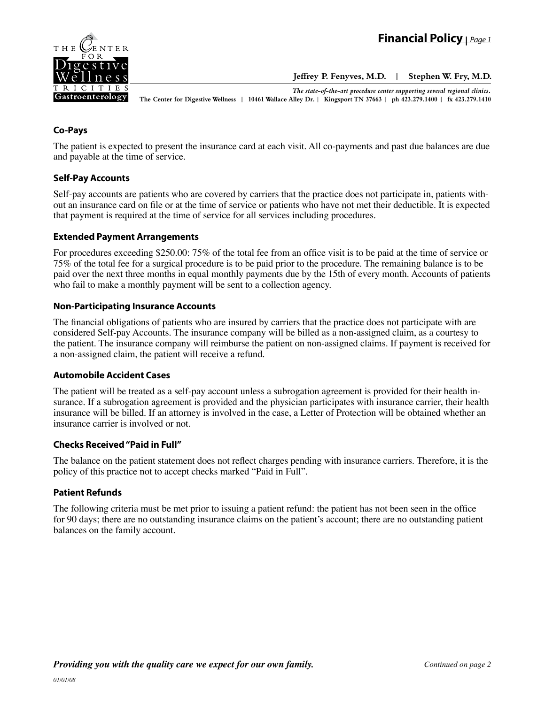

**Jeffrey P. Fenyves, M.D. | Stephen W. Fry, M.D.**

*The state-of-the-art procedure center supporting several regional clinics.*

**The Center for Digestive Wellness | 10461 Wallace Alley Dr. | Kingsport TN 37663 | ph 423.279.1400 | fx 423.279.1410**

# **Co-Pays**

The patient is expected to present the insurance card at each visit. All co-payments and past due balances are due and payable at the time of service.

### **Self-Pay Accounts**

Self-pay accounts are patients who are covered by carriers that the practice does not participate in, patients without an insurance card on file or at the time of service or patients who have not met their deductible. It is expected that payment is required at the time of service for all services including procedures.

### **Extended Payment Arrangements**

For procedures exceeding \$250.00: 75% of the total fee from an office visit is to be paid at the time of service or 75% of the total fee for a surgical procedure is to be paid prior to the procedure. The remaining balance is to be paid over the next three months in equal monthly payments due by the 15th of every month. Accounts of patients who fail to make a monthly payment will be sent to a collection agency.

### **Non-Participating Insurance Accounts**

The financial obligations of patients who are insured by carriers that the practice does not participate with are considered Self-pay Accounts. The insurance company will be billed as a non-assigned claim, as a courtesy to the patient. The insurance company will reimburse the patient on non-assigned claims. If payment is received for a non-assigned claim, the patient will receive a refund.

### **Automobile Accident Cases**

The patient will be treated as a self-pay account unless a subrogation agreement is provided for their health insurance. If a subrogation agreement is provided and the physician participates with insurance carrier, their health insurance will be billed. If an attorney is involved in the case, a Letter of Protection will be obtained whether an insurance carrier is involved or not.

# **Checks Received "Paid in Full"**

The balance on the patient statement does not reflect charges pending with insurance carriers. Therefore, it is the policy of this practice not to accept checks marked "Paid in Full".

# **Patient Refunds**

The following criteria must be met prior to issuing a patient refund: the patient has not been seen in the office for 90 days; there are no outstanding insurance claims on the patient's account; there are no outstanding patient balances on the family account.